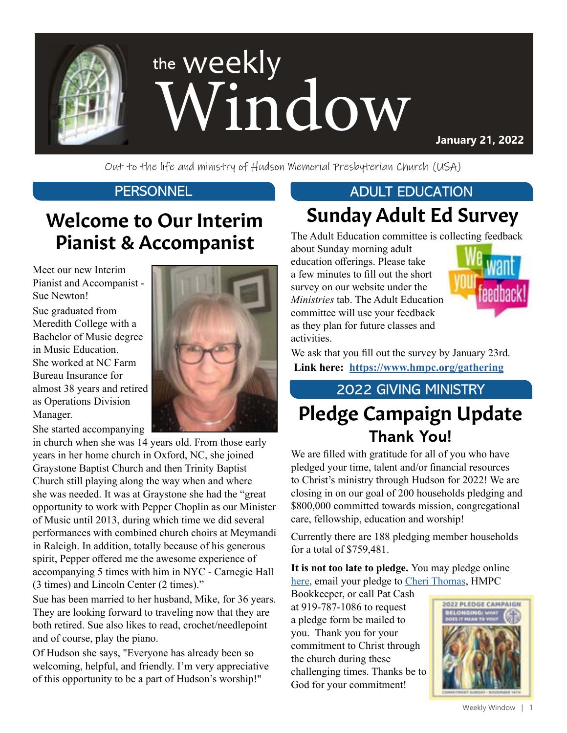

Out to the life and ministry of Hudson Memorial Presbyterian Church (USA)

## Welcome to Our Interim Pianist & Accompanist

Meet our new Interim Pianist and Accompanist - Sue Newton!

Sue graduated from Meredith College with a Bachelor of Music degree in Music Education. She worked at NC Farm Bureau Insurance for almost 38 years and retired as Operations Division Manager.



She started accompanying

in church when she was 14 years old. From those early years in her home church in Oxford, NC, she joined Graystone Baptist Church and then Trinity Baptist Church still playing along the way when and where she was needed. It was at Graystone she had the "great opportunity to work with Pepper Choplin as our Minister of Music until 2013, during which time we did several performances with combined church choirs at Meymandi in Raleigh. In addition, totally because of his generous spirit, Pepper offered me the awesome experience of accompanying 5 times with him in NYC - Carnegie Hall (3 times) and Lincoln Center (2 times)."

Sue has been married to her husband, Mike, for 36 years. They are looking forward to traveling now that they are both retired. Sue also likes to read, crochet/needlepoint and of course, play the piano.

Of Hudson she says, "Everyone has already been so welcoming, helpful, and friendly. I'm very appreciative of this opportunity to be a part of Hudson's worship!"

### PERSONNEL **ADULT EDUCATION**

# Sunday Adult Ed Survey

The Adult Education committee is collecting feedback

about Sunday morning adult education offerings. Please take a few minutes to fill out the short survey on our website under the *Ministries* tab. The Adult Education committee will use your feedback as they plan for future classes and activities.



We ask that you fill out the survey by January 23rd.  **Link here: <https://www.hmpc.org/gathering>**

#### 2022 GIVING MINISTRY

# Pledge Campaign Update **Thank You!**

We are filled with gratitude for all of you who have pledged your time, talent and/or financial resources to Christ's ministry through Hudson for 2022! We are closing in on our goal of 200 households pledging and \$800,000 committed towards mission, congregational care, fellowship, education and worship!

Currently there are 188 pledging member households for a total of \$759,481.

**It is not too late to pledge.** You may pledge online [here](https://www.hmpc.org/make-a-pledge), email your pledge to [Cheri Thomas](mailto:CThomas%40hmpc.org?subject=), HMPC

Bookkeeper, or call Pat Cash at 919-787-1086 to request a pledge form be mailed to you. Thank you for your commitment to Christ through the church during these challenging times. Thanks be to God for your commitment!

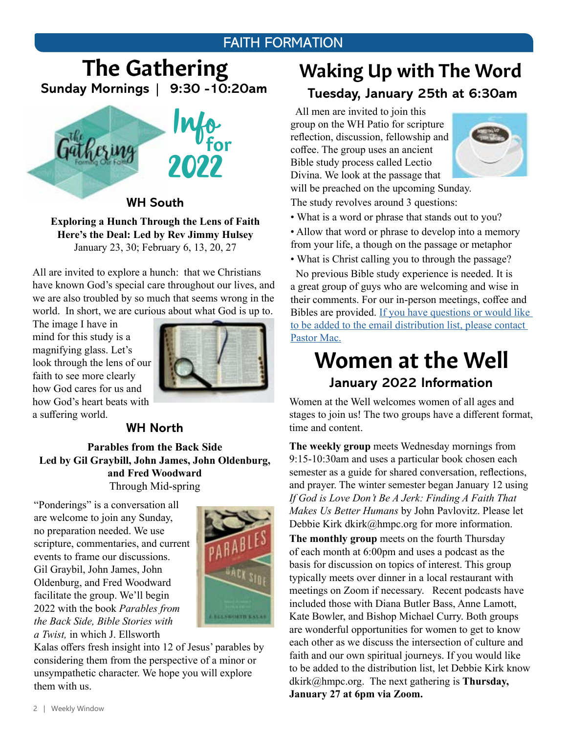#### FAITH FORMATION

## The Gathering **Sunday Mornings | 9:30 -10:20am**



**WH South**

**Exploring a Hunch Through the Lens of Faith Here's the Deal: Led by Rev Jimmy Hulsey** January 23, 30; February 6, 13, 20, 27

All are invited to explore a hunch: that we Christians have known God's special care throughout our lives, and we are also troubled by so much that seems wrong in the world. In short, we are curious about what God is up to.

The image I have in mind for this study is a magnifying glass. Let's look through the lens of our faith to see more clearly how God cares for us and how God's heart beats with a suffering world.



#### **WH North**

**Parables from the Back Side Led by Gil Graybill, John James, John Oldenburg, and Fred Woodward**  Through Mid-spring

"Ponderings" is a conversation all are welcome to join any Sunday, no preparation needed. We use scripture, commentaries, and current events to frame our discussions. Gil Graybil, John James, John Oldenburg, and Fred Woodward facilitate the group. We'll begin 2022 with the book *Parables from the Back Side, Bible Stories with a Twist,* in which J. Ellsworth



Kalas offers fresh insight into 12 of Jesus' parables by considering them from the perspective of a minor or unsympathetic character. We hope you will explore them with us.

### Waking Up with The Word **Tuesday, January 25th at 6:30am**

 All men are invited to join this group on the WH Patio for scripture reflection, discussion, fellowship and coffee. The group uses an ancient Bible study process called Lectio Divina. We look at the passage that



will be preached on the upcoming Sunday. The study revolves around 3 questions:

• What is a word or phrase that stands out to you?

• Allow that word or phrase to develop into a memory from your life, a though on the passage or metaphor

• What is Christ calling you to through the passage?

 No previous Bible study experience is needed. It is a great group of guys who are welcoming and wise in their comments. For our in-person meetings, coffee and Bibles are provided. [If you have questions or would like](mailto:mschafer%40hmpc.org?subject=)  [to be added to the email distribution list, please contact](mailto:mschafer%40hmpc.org?subject=)  [Pastor Mac.](mailto:mschafer%40hmpc.org?subject=)

### Women at the Well **January 2022 Information**

Women at the Well welcomes women of all ages and stages to join us! The two groups have a different format, time and content.

**The weekly group** meets Wednesday mornings from 9:15-10:30am and uses a particular book chosen each semester as a guide for shared conversation, reflections, and prayer. The winter semester began January 12 using *If God is Love Don't Be A Jerk: Finding A Faith That Makes Us Better Humans* by John Pavlovitz. Please let Debbie Kirk dkirk@hmpc.org for more information.

**The monthly group** meets on the fourth Thursday of each month at 6:00pm and uses a podcast as the basis for discussion on topics of interest. This group typically meets over dinner in a local restaurant with meetings on Zoom if necessary. Recent podcasts have included those with Diana Butler Bass, Anne Lamott, Kate Bowler, and Bishop Michael Curry. Both groups are wonderful opportunities for women to get to know each other as we discuss the intersection of culture and faith and our own spiritual journeys. If you would like to be added to the distribution list, let Debbie Kirk know dkirk@hmpc.org. The next gathering is **Thursday, January 27 at 6pm via Zoom.**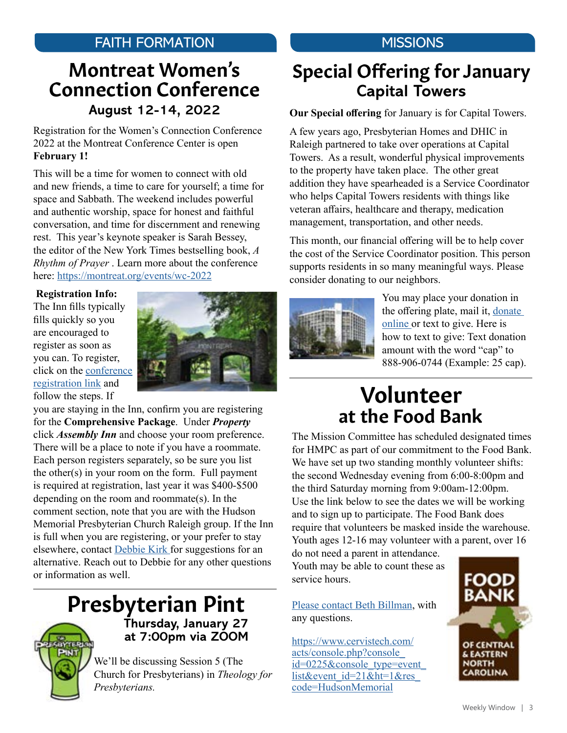#### FAITH FORMATION MISSIONS

### Montreat Women's Connection Conference **August 12-14, 2022**

Registration for the Women's Connection Conference 2022 at the Montreat Conference Center is open **February 1!**

This will be a time for women to connect with old and new friends, a time to care for yourself; a time for space and Sabbath. The weekend includes powerful and authentic worship, space for honest and faithful conversation, and time for discernment and renewing rest. This year's keynote speaker is Sarah Bessey, the editor of the New York Times bestselling book, *A Rhythm of Prayer* . Learn more about the conference here: [https://montreat.org/events/wc-2022](https://montreat.org/events/wc-2022 )

 **Registration Info:** 

The Inn fills typically fills quickly so you are encouraged to register as soon as you can. To register, click on the [conference](https://montreat.org/events/wc-2022)  [registration link](https://montreat.org/events/wc-2022) and follow the steps. If



you are staying in the Inn, confirm you are registering for the **Comprehensive Package**. Under *Property* click *Assembly Inn* and choose your room preference. There will be a place to note if you have a roommate. Each person registers separately, so be sure you list the other(s) in your room on the form. Full payment is required at registration, last year it was \$400-\$500 depending on the room and roommate(s). In the comment section, note that you are with the Hudson Memorial Presbyterian Church Raleigh group. If the Inn is full when you are registering, or your prefer to stay elsewhere, contact [Debbie Kirk f](mailto:dkirk%40hmpc.org?subject=)or suggestions for an alternative. Reach out to Debbie for any other questions or information as well.

### Presbyterian Pint **Thursday, January 27**

**at 7:00pm via ZOOM**

We'll be discussing Session 5 (The Church for Presbyterians) in *Theology for Presbyterians.*

### Special Offering for January **Capital Towers**

**Our Special offering** for January is for Capital Towers.

A few years ago, Presbyterian Homes and DHIC in Raleigh partnered to take over operations at Capital Towers. As a result, wonderful physical improvements to the property have taken place. The other great addition they have spearheaded is a Service Coordinator who helps Capital Towers residents with things like veteran affairs, healthcare and therapy, medication management, transportation, and other needs.

This month, our financial offering will be to help cover the cost of the Service Coordinator position. This person supports residents in so many meaningful ways. Please consider donating to our neighbors.



You may place your donation in the offering plate, mail it, [donate](https://www.eservicepayments.com/cgi-bin/Vanco_ver3.vps?appver3=Fi1giPL8kwX_Oe1AO50jRnQ574HZh5kFEHVJ6e5We_Us4NSQukCYDzKLUtTTUlsf2EvVVAEjqawDomKT1pbouTsRltlX7QEmZN4jxtbsYBc=&ver=3)  [online](https://www.eservicepayments.com/cgi-bin/Vanco_ver3.vps?appver3=Fi1giPL8kwX_Oe1AO50jRnQ574HZh5kFEHVJ6e5We_Us4NSQukCYDzKLUtTTUlsf2EvVVAEjqawDomKT1pbouTsRltlX7QEmZN4jxtbsYBc=&ver=3) or text to give. Here is how to text to give: Text donation amount with the word "cap" to 888-906-0744 (Example: 25 cap).

## at the Food Bank Volunteer

The Mission Committee has scheduled designated times for HMPC as part of our commitment to the Food Bank. We have set up two standing monthly volunteer shifts: the second Wednesday evening from 6:00-8:00pm and the third Saturday morning from 9:00am-12:00pm. Use the link below to see the dates we will be working and to sign up to participate. The Food Bank does require that volunteers be masked inside the warehouse. Youth ages 12-16 may volunteer with a parent, over 16

do not need a parent in attendance. Youth may be able to count these as service hours.

[Please contact Beth Billman](mailto:bbillman%40nc.rr.com?subject=), with any questions.

[https://www.cervistech.com/](https://www.cervistech.com/acts/console.php?console_id=0225&console_type=event_list&event_id=21&ht=1&res_code=HudsonMemorial) [acts/console.php?console\\_](https://www.cervistech.com/acts/console.php?console_id=0225&console_type=event_list&event_id=21&ht=1&res_code=HudsonMemorial) id=0225&console\_type=event [list&event\\_id=21&ht=1&res\\_](https://www.cervistech.com/acts/console.php?console_id=0225&console_type=event_list&event_id=21&ht=1&res_code=HudsonMemorial) [code=HudsonMemorial](https://www.cervistech.com/acts/console.php?console_id=0225&console_type=event_list&event_id=21&ht=1&res_code=HudsonMemorial)

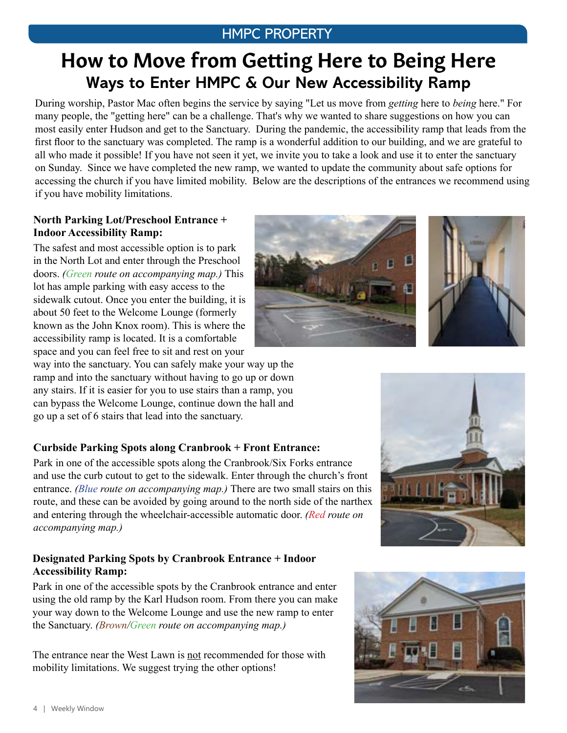#### HMPC PROPERTY

## How to Move from Getting Here to Being Here **Ways to Enter HMPC & Our New Accessibility Ramp**

During worship, Pastor Mac often begins the service by saying "Let us move from *getting* here to *being* here." For many people, the "getting here" can be a challenge. That's why we wanted to share suggestions on how you can most easily enter Hudson and get to the Sanctuary. During the pandemic, the accessibility ramp that leads from the first floor to the sanctuary was completed. The ramp is a wonderful addition to our building, and we are grateful to all who made it possible! If you have not seen it yet, we invite you to take a look and use it to enter the sanctuary on Sunday. Since we have completed the new ramp, we wanted to update the community about safe options for accessing the church if you have limited mobility. Below are the descriptions of the entrances we recommend using if you have mobility limitations.

#### **North Parking Lot/Preschool Entrance + Indoor Accessibility Ramp:**

The safest and most accessible option is to park in the North Lot and enter through the Preschool doors. *(Green route on accompanying map.)* This lot has ample parking with easy access to the sidewalk cutout. Once you enter the building, it is about 50 feet to the Welcome Lounge (formerly known as the John Knox room). This is where the accessibility ramp is located. It is a comfortable space and you can feel free to sit and rest on your

way into the sanctuary. You can safely make your way up the ramp and into the sanctuary without having to go up or down any stairs. If it is easier for you to use stairs than a ramp, you can bypass the Welcome Lounge, continue down the hall and go up a set of 6 stairs that lead into the sanctuary.

#### **Curbside Parking Spots along Cranbrook + Front Entrance:**

Park in one of the accessible spots along the Cranbrook/Six Forks entrance and use the curb cutout to get to the sidewalk. Enter through the church's front entrance. *(Blue route on accompanying map.)* There are two small stairs on this route, and these can be avoided by going around to the north side of the narthex and entering through the wheelchair-accessible automatic door. *(Red route on accompanying map.)*

#### **Designated Parking Spots by Cranbrook Entrance + Indoor Accessibility Ramp:**

Park in one of the accessible spots by the Cranbrook entrance and enter using the old ramp by the Karl Hudson room. From there you can make your way down to the Welcome Lounge and use the new ramp to enter the Sanctuary. *(Brown/Green route on accompanying map.)*

The entrance near the West Lawn is not recommended for those with mobility limitations. We suggest trying the other options!









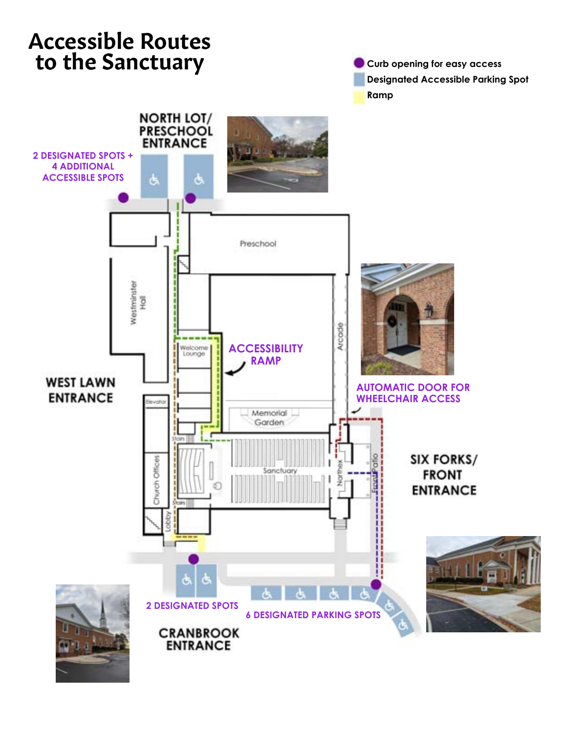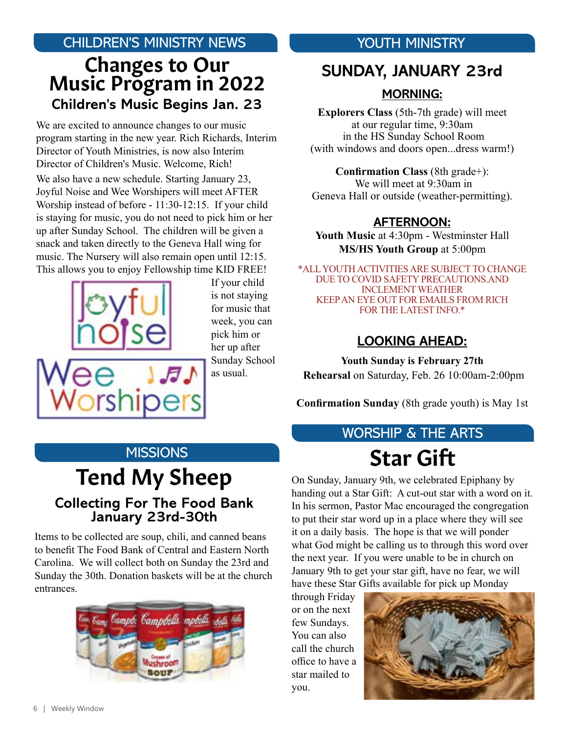#### CHILDREN'S MINISTRY NEWS **CHILDREN'S MINISTRY**

### Changes to Our Music Program in 2022 **Children's Music Begins Jan. 23**

We are excited to announce changes to our music program starting in the new year. Rich Richards, Interim Director of Youth Ministries, is now also Interim Director of Children's Music. Welcome, Rich!

We also have a new schedule. Starting January 23, Joyful Noise and Wee Worshipers will meet AFTER Worship instead of before - 11:30-12:15. If your child is staying for music, you do not need to pick him or her up after Sunday School. The children will be given a snack and taken directly to the Geneva Hall wing for music. The Nursery will also remain open until 12:15. This allows you to enjoy Fellowship time KID FREE!



If your child is not staying for music that week, you can pick him or her up after Sunday School as usual.

### **SUNDAY, JANUARY 23rd**

#### **MORNING:**

**Explorers Class** (5th-7th grade) will meet at our regular time, 9:30am in the HS Sunday School Room (with windows and doors open...dress warm!)

**Confirmation Class** (8th grade+): We will meet at 9:30am in Geneva Hall or outside (weather-permitting).

#### **AFTERNOON:**

**Youth Music** at 4:30pm - Westminster Hall **MS/HS Youth Group** at 5:00pm

\*ALL YOUTH ACTIVITIES ARE SUBJECT TO CHANGE DUE TO COVID SAFETY PRECAUTIONS.AND INCLEMENT WEATHER KEEP AN EYE OUT FOR EMAILS FROM RICH FOR THE LATEST INFO.\*

#### **LOOKING AHEAD:**

**Youth Sunday is February 27th Rehearsal** on Saturday, Feb. 26 10:00am-2:00pm

**Confirmation Sunday** (8th grade youth) is May 1st

#### **MISSIONS**

### Tend My Sheep **Collecting For The Food Bank January 23rd-30th**

Items to be collected are soup, chili, and canned beans to benefit The Food Bank of Central and Eastern North Carolina. We will collect both on Sunday the 23rd and Sunday the 30th. Donation baskets will be at the church entrances.



## Star Gift WORSHIP & THE ARTS

On Sunday, January 9th, we celebrated Epiphany by handing out a Star Gift: A cut-out star with a word on it. In his sermon, Pastor Mac encouraged the congregation to put their star word up in a place where they will see it on a daily basis. The hope is that we will ponder what God might be calling us to through this word over the next year. If you were unable to be in church on January 9th to get your star gift, have no fear, we will have these Star Gifts available for pick up Monday

through Friday or on the next few Sundays. You can also call the church office to have a star mailed to you.

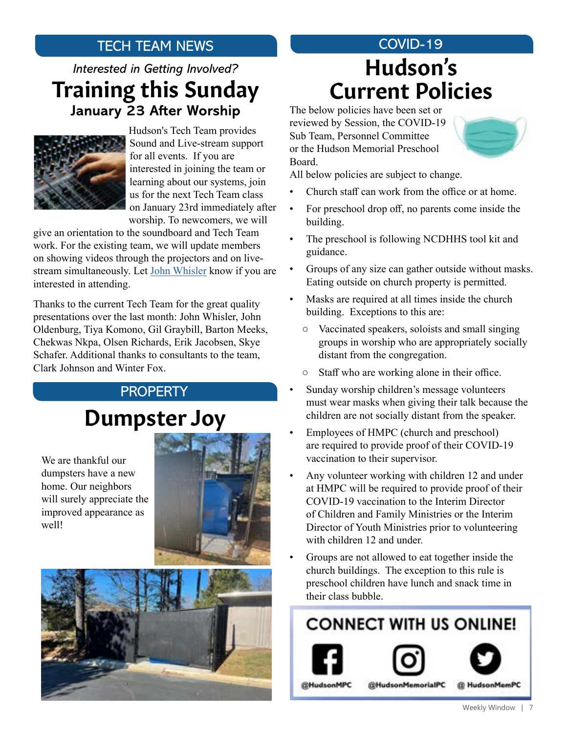### TECH TEAM NEWS

### *Interested in Getting Involved?* Training this Sunday **January 23 After Worship**



Hudson's Tech Team provides Sound and Live-stream support for all events. If you are interested in joining the team or learning about our systems, join us for the next Tech Team class on January 23rd immediately after worship. To newcomers, we will

give an orientation to the soundboard and Tech Team work. For the existing team, we will update members on showing videos through the projectors and on livestream simultaneously. Let [John Whisler](mailto:john.w.whisler%40gmail.com?subject=) know if you are interested in attending.

Thanks to the current Tech Team for the great quality presentations over the last month: John Whisler, John Oldenburg, Tiya Komono, Gil Graybill, Barton Meeks, Chekwas Nkpa, Olsen Richards, Erik Jacobsen, Skye Schafer. Additional thanks to consultants to the team, Clark Johnson and Winter Fox.

#### PROPERTY

# Dumpster Joy

We are thankful our dumpsters have a new home. Our neighbors will surely appreciate the improved appearance as well!





# COVID-19 Current Policies Hudson's

The below policies have been set or reviewed by Session, the COVID-19 Sub Team, Personnel Committee or the Hudson Memorial Preschool Board.



All below policies are subject to change.

- Church staff can work from the office or at home.
- For preschool drop off, no parents come inside the building.
- The preschool is following NCDHHS tool kit and guidance.
- Groups of any size can gather outside without masks. Eating outside on church property is permitted.
- Masks are required at all times inside the church building. Exceptions to this are:
	- Vaccinated speakers, soloists and small singing groups in worship who are appropriately socially distant from the congregation.
	- Staff who are working alone in their office.
- Sunday worship children's message volunteers must wear masks when giving their talk because the children are not socially distant from the speaker.
- Employees of HMPC (church and preschool) are required to provide proof of their COVID-19 vaccination to their supervisor.
- Any volunteer working with children 12 and under at HMPC will be required to provide proof of their COVID-19 vaccination to the Interim Director of Children and Family Ministries or the Interim Director of Youth Ministries prior to volunteering with children 12 and under.
- Groups are not allowed to eat together inside the church buildings. The exception to this rule is preschool children have lunch and snack time in their class bubble.